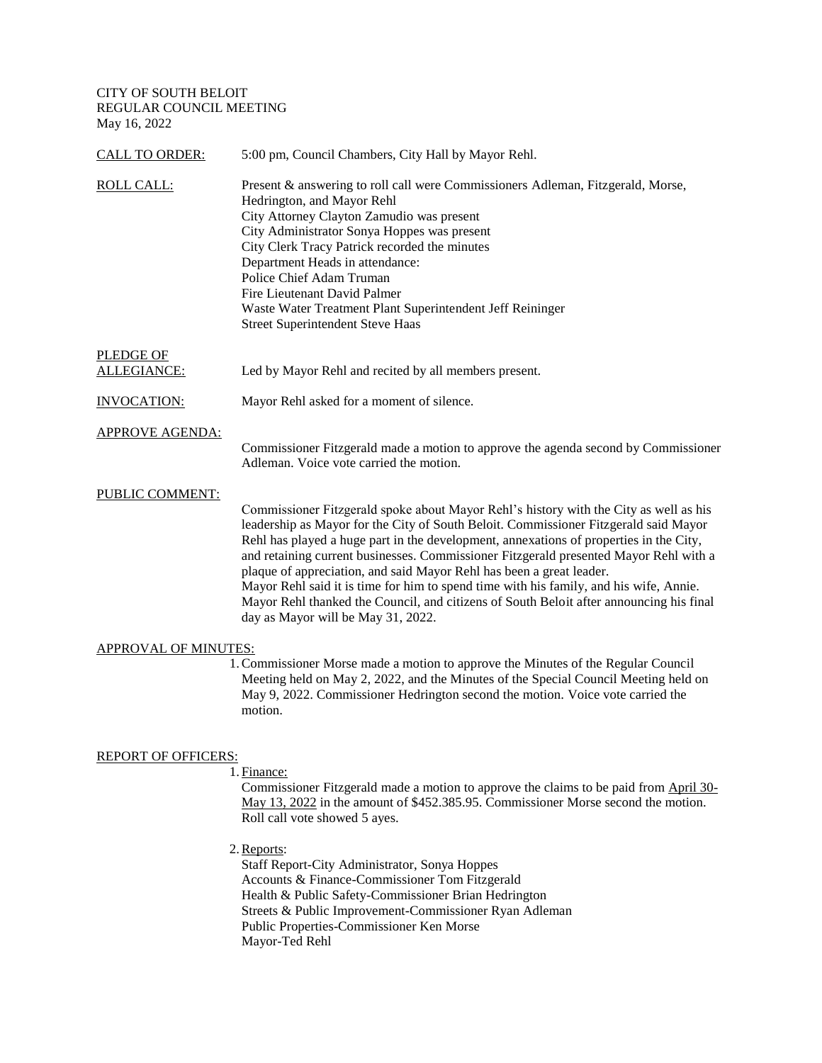CITY OF SOUTH BELOIT REGULAR COUNCIL MEETING May 16, 2022

| <b>CALL TO ORDER:</b>  | 5:00 pm, Council Chambers, City Hall by Mayor Rehl.                                                                                                                                                                                                                                                                                                                                                                                                                                                                                                                                                                                                                 |
|------------------------|---------------------------------------------------------------------------------------------------------------------------------------------------------------------------------------------------------------------------------------------------------------------------------------------------------------------------------------------------------------------------------------------------------------------------------------------------------------------------------------------------------------------------------------------------------------------------------------------------------------------------------------------------------------------|
| ROLL CALL:             | Present & answering to roll call were Commissioners Adleman, Fitzgerald, Morse,<br>Hedrington, and Mayor Rehl<br>City Attorney Clayton Zamudio was present<br>City Administrator Sonya Hoppes was present<br>City Clerk Tracy Patrick recorded the minutes<br>Department Heads in attendance:<br>Police Chief Adam Truman<br>Fire Lieutenant David Palmer<br>Waste Water Treatment Plant Superintendent Jeff Reininger<br><b>Street Superintendent Steve Haas</b>                                                                                                                                                                                                   |
| PLEDGE OF              |                                                                                                                                                                                                                                                                                                                                                                                                                                                                                                                                                                                                                                                                     |
| ALLEGIANCE:            | Led by Mayor Rehl and recited by all members present.                                                                                                                                                                                                                                                                                                                                                                                                                                                                                                                                                                                                               |
| <b>INVOCATION:</b>     | Mayor Rehl asked for a moment of silence.                                                                                                                                                                                                                                                                                                                                                                                                                                                                                                                                                                                                                           |
| <b>APPROVE AGENDA:</b> | Commissioner Fitzgerald made a motion to approve the agenda second by Commissioner<br>Adleman. Voice vote carried the motion.                                                                                                                                                                                                                                                                                                                                                                                                                                                                                                                                       |
| PUBLIC COMMENT:        | Commissioner Fitzgerald spoke about Mayor Rehl's history with the City as well as his<br>leadership as Mayor for the City of South Beloit. Commissioner Fitzgerald said Mayor<br>Rehl has played a huge part in the development, annexations of properties in the City,<br>and retaining current businesses. Commissioner Fitzgerald presented Mayor Rehl with a<br>plaque of appreciation, and said Mayor Rehl has been a great leader.<br>Mayor Rehl said it is time for him to spend time with his family, and his wife, Annie.<br>Mayor Rehl thanked the Council, and citizens of South Beloit after announcing his final<br>day as Mayor will be May 31, 2022. |
| APPROVAL OF MINUTES:   |                                                                                                                                                                                                                                                                                                                                                                                                                                                                                                                                                                                                                                                                     |
|                        | 1. Commissioner Morse made a motion to approve the Minutes of the Regular Council<br>Meeting held on May 2, 2022, and the Minutes of the Special Council Meeting held on                                                                                                                                                                                                                                                                                                                                                                                                                                                                                            |

May 9, 2022. Commissioner Hedrington second the motion. Voice vote carried the motion.

# REPORT OF OFFICERS:

1. Finance:

Commissioner Fitzgerald made a motion to approve the claims to be paid from April 30- May 13, 2022 in the amount of \$452.385.95. Commissioner Morse second the motion. Roll call vote showed 5 ayes.

2. Reports:

Staff Report-City Administrator, Sonya Hoppes Accounts & Finance-Commissioner Tom Fitzgerald Health & Public Safety-Commissioner Brian Hedrington Streets & Public Improvement-Commissioner Ryan Adleman Public Properties-Commissioner Ken Morse Mayor-Ted Rehl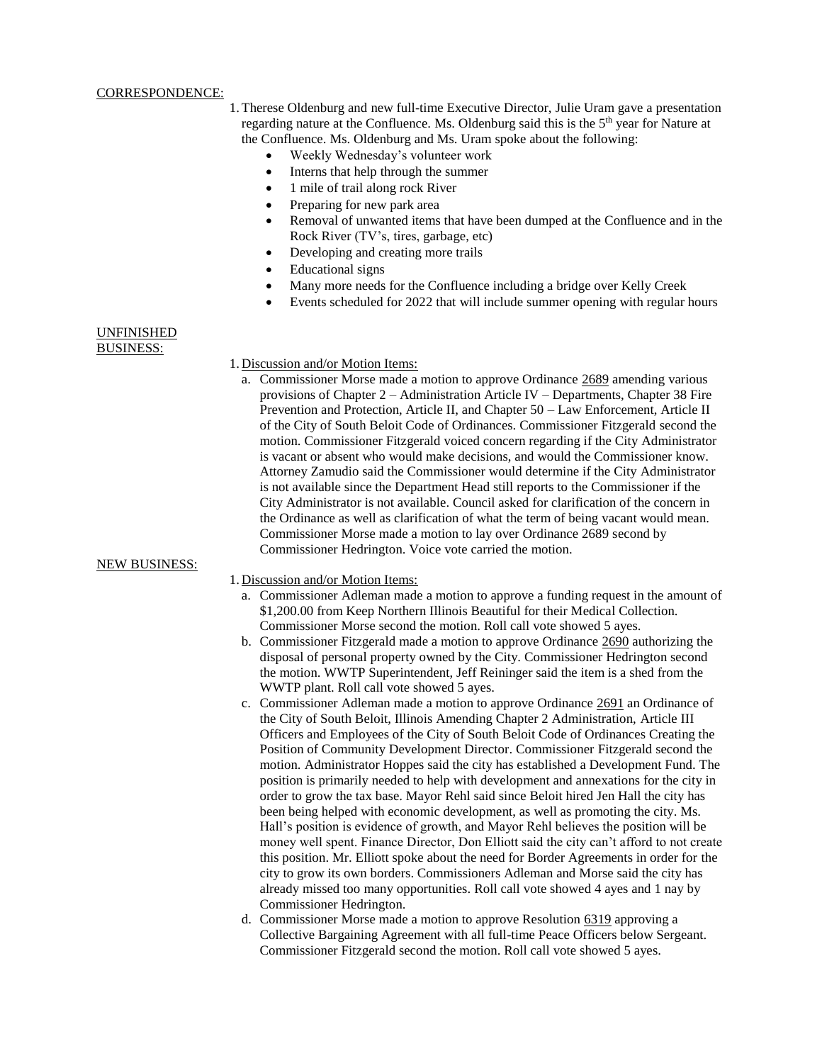#### CORRESPONDENCE:

- 1.Therese Oldenburg and new full-time Executive Director, Julie Uram gave a presentation regarding nature at the Confluence. Ms. Oldenburg said this is the  $5<sup>th</sup>$  year for Nature at the Confluence. Ms. Oldenburg and Ms. Uram spoke about the following:
	- Weekly Wednesday's volunteer work
	- Interns that help through the summer
	- 1 mile of trail along rock River
	- Preparing for new park area
	- Removal of unwanted items that have been dumped at the Confluence and in the Rock River (TV's, tires, garbage, etc)
	- Developing and creating more trails
	- Educational signs
	- Many more needs for the Confluence including a bridge over Kelly Creek
	- Events scheduled for 2022 that will include summer opening with regular hours

#### UNFINISHED BUSINESS:

#### 1. Discussion and/or Motion Items:

a. Commissioner Morse made a motion to approve Ordinance 2689 amending various provisions of Chapter 2 – Administration Article IV – Departments, Chapter 38 Fire Prevention and Protection, Article II, and Chapter 50 – Law Enforcement, Article II of the City of South Beloit Code of Ordinances. Commissioner Fitzgerald second the motion. Commissioner Fitzgerald voiced concern regarding if the City Administrator is vacant or absent who would make decisions, and would the Commissioner know. Attorney Zamudio said the Commissioner would determine if the City Administrator is not available since the Department Head still reports to the Commissioner if the City Administrator is not available. Council asked for clarification of the concern in the Ordinance as well as clarification of what the term of being vacant would mean. Commissioner Morse made a motion to lay over Ordinance 2689 second by Commissioner Hedrington. Voice vote carried the motion.

#### NEW BUSINESS:

1. Discussion and/or Motion Items:

- a. Commissioner Adleman made a motion to approve a funding request in the amount of \$1,200.00 from Keep Northern Illinois Beautiful for their Medical Collection. Commissioner Morse second the motion. Roll call vote showed 5 ayes.
- b. Commissioner Fitzgerald made a motion to approve Ordinance 2690 authorizing the disposal of personal property owned by the City. Commissioner Hedrington second the motion. WWTP Superintendent, Jeff Reininger said the item is a shed from the WWTP plant. Roll call vote showed 5 ayes.
- c. Commissioner Adleman made a motion to approve Ordinance 2691 an Ordinance of the City of South Beloit, Illinois Amending Chapter 2 Administration, Article III Officers and Employees of the City of South Beloit Code of Ordinances Creating the Position of Community Development Director. Commissioner Fitzgerald second the motion. Administrator Hoppes said the city has established a Development Fund. The position is primarily needed to help with development and annexations for the city in order to grow the tax base. Mayor Rehl said since Beloit hired Jen Hall the city has been being helped with economic development, as well as promoting the city. Ms. Hall's position is evidence of growth, and Mayor Rehl believes the position will be money well spent. Finance Director, Don Elliott said the city can't afford to not create this position. Mr. Elliott spoke about the need for Border Agreements in order for the city to grow its own borders. Commissioners Adleman and Morse said the city has already missed too many opportunities. Roll call vote showed 4 ayes and 1 nay by Commissioner Hedrington.
- d. Commissioner Morse made a motion to approve Resolution 6319 approving a Collective Bargaining Agreement with all full-time Peace Officers below Sergeant. Commissioner Fitzgerald second the motion. Roll call vote showed 5 ayes.